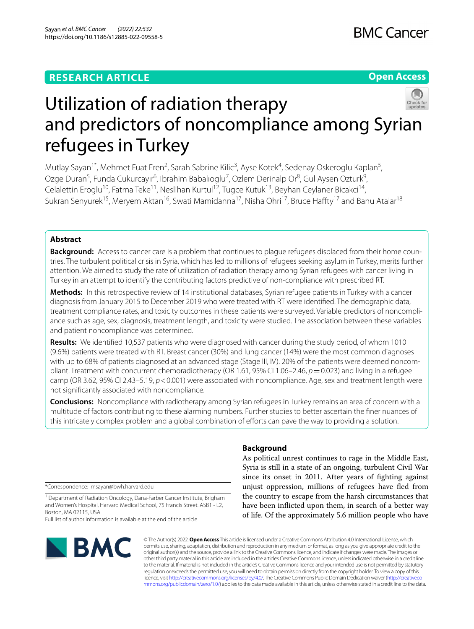## **RESEARCH ARTICLE**

## **Open Access**



# Utilization of radiation therapy and predictors of noncompliance among Syrian refugees in Turkey

Mutlay Sayan<sup>1\*</sup>, Mehmet Fuat Eren<sup>2</sup>, Sarah Sabrine Kilic<sup>3</sup>, Ayse Kotek<sup>4</sup>, Sedenay Oskeroglu Kaplan<sup>5</sup>, Ozge Duran<sup>5</sup>, Funda Cukurcayır<sup>6</sup>, Ibrahim Babalıoglu<sup>7</sup>, Ozlem Derinalp Or<sup>8</sup>, Gul Aysen Ozturk<sup>9</sup>, Celalettin Eroglu<sup>10</sup>, Fatma Teke<sup>11</sup>, Neslihan Kurtul<sup>12</sup>, Tugce Kutuk<sup>13</sup>, Beyhan Ceylaner Bicakci<sup>14</sup>, Sukran Senyurek<sup>15</sup>, Meryem Aktan<sup>16</sup>, Swati Mamidanna<sup>17</sup>, Nisha Ohri<sup>17</sup>, Bruce Haffty<sup>17</sup> and Banu Atalar<sup>18</sup>

## **Abstract**

**Background:** Access to cancer care is a problem that continues to plague refugees displaced from their home countries. The turbulent political crisis in Syria, which has led to millions of refugees seeking asylum in Turkey, merits further attention. We aimed to study the rate of utilization of radiation therapy among Syrian refugees with cancer living in Turkey in an attempt to identify the contributing factors predictive of non-compliance with prescribed RT.

**Methods:** In this retrospective review of 14 institutional databases, Syrian refugee patients in Turkey with a cancer diagnosis from January 2015 to December 2019 who were treated with RT were identifed. The demographic data, treatment compliance rates, and toxicity outcomes in these patients were surveyed. Variable predictors of noncompliance such as age, sex, diagnosis, treatment length, and toxicity were studied. The association between these variables and patient noncompliance was determined.

**Results:** We identifed 10,537 patients who were diagnosed with cancer during the study period, of whom 1010 (9.6%) patients were treated with RT. Breast cancer (30%) and lung cancer (14%) were the most common diagnoses with up to 68% of patients diagnosed at an advanced stage (Stage III, IV). 20% of the patients were deemed noncompliant. Treatment with concurrent chemoradiotherapy (OR 1.61, 95% CI 1.06–2.46,  $p = 0.023$ ) and living in a refugee camp (OR 3.62, 95% CI 2.43–5.19, *p*<0.001) were associated with noncompliance. Age, sex and treatment length were not signifcantly associated with noncompliance.

**Conclusions:** Noncompliance with radiotherapy among Syrian refugees in Turkey remains an area of concern with a multitude of factors contributing to these alarming numbers. Further studies to better ascertain the fner nuances of this intricately complex problem and a global combination of eforts can pave the way to providing a solution.

\*Correspondence: msayan@bwh.harvard.edu

<sup>1</sup> Department of Radiation Oncology, Dana-Farber Cancer Institute, Brigham and Women's Hospital, Harvard Medical School, 75 Francis Street. ASB1 - L2, Boston, MA 02115, USA

Full list of author information is available at the end of the article



# **Background**

As political unrest continues to rage in the Middle East, Syria is still in a state of an ongoing, turbulent Civil War since its onset in 2011. After years of fghting against unjust oppression, millions of refugees have fed from the country to escape from the harsh circumstances that have been inficted upon them, in search of a better way of life. Of the approximately 5.6 million people who have

© The Author(s) 2022. **Open Access** This article is licensed under a Creative Commons Attribution 4.0 International License, which permits use, sharing, adaptation, distribution and reproduction in any medium or format, as long as you give appropriate credit to the original author(s) and the source, provide a link to the Creative Commons licence, and indicate if changes were made. The images or other third party material in this article are included in the article's Creative Commons licence, unless indicated otherwise in a credit line to the material. If material is not included in the article's Creative Commons licence and your intended use is not permitted by statutory regulation or exceeds the permitted use, you will need to obtain permission directly from the copyright holder. To view a copy of this licence, visit [http://creativecommons.org/licenses/by/4.0/.](http://creativecommons.org/licenses/by/4.0/) The Creative Commons Public Domain Dedication waiver ([http://creativeco](http://creativecommons.org/publicdomain/zero/1.0/) [mmons.org/publicdomain/zero/1.0/](http://creativecommons.org/publicdomain/zero/1.0/)) applies to the data made available in this article, unless otherwise stated in a credit line to the data.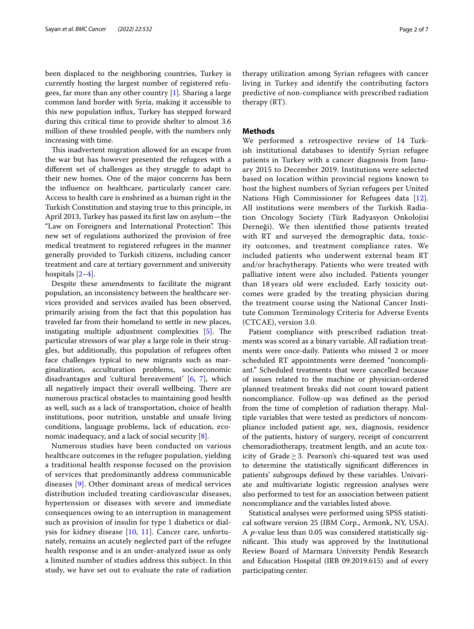been displaced to the neighboring countries, Turkey is currently hosting the largest number of registered refugees, far more than any other country [[1\]](#page-5-0). Sharing a large common land border with Syria, making it accessible to this new population infux, Turkey has stepped forward during this critical time to provide shelter to almost 3.6 million of these troubled people, with the numbers only increasing with time.

This inadvertent migration allowed for an escape from the war but has however presented the refugees with a diferent set of challenges as they struggle to adapt to their new homes. One of the major concerns has been the infuence on healthcare, particularly cancer care. Access to health care is enshrined as a human right in the Turkish Constitution and staying true to this principle, in April 2013, Turkey has passed its frst law on asylum—the "Law on Foreigners and International Protection". This new set of regulations authorized the provision of free medical treatment to registered refugees in the manner generally provided to Turkish citizens, including cancer treatment and care at tertiary government and university hospitals [[2–](#page-5-1)[4](#page-5-2)].

Despite these amendments to facilitate the migrant population, an inconsistency between the healthcare services provided and services availed has been observed, primarily arising from the fact that this population has traveled far from their homeland to settle in new places, instigating multiple adjustment complexities  $[5]$  $[5]$ . The particular stressors of war play a large role in their struggles, but additionally, this population of refugees often face challenges typical to new migrants such as marginalization, acculturation problems, socioeconomic disadvantages and 'cultural bereavement' [[6,](#page-5-4) [7\]](#page-5-5), which all negatively impact their overall wellbeing. There are numerous practical obstacles to maintaining good health as well, such as a lack of transportation, choice of health institutions, poor nutrition, unstable and unsafe living conditions, language problems, lack of education, economic inadequacy, and a lack of social security [\[8](#page-5-6)].

Numerous studies have been conducted on various healthcare outcomes in the refugee population, yielding a traditional health response focused on the provision of services that predominantly address communicable diseases [\[9\]](#page-5-7). Other dominant areas of medical services distribution included treating cardiovascular diseases, hypertension or diseases with severe and immediate consequences owing to an interruption in management such as provision of insulin for type 1 diabetics or dialysis for kidney disease [\[10](#page-5-8), [11\]](#page-5-9). Cancer care, unfortunately, remains an acutely neglected part of the refugee health response and is an under-analyzed issue as only a limited number of studies address this subject. In this study, we have set out to evaluate the rate of radiation therapy utilization among Syrian refugees with cancer living in Turkey and identify the contributing factors predictive of non-compliance with prescribed radiation therapy (RT).

#### **Methods**

We performed a retrospective review of 14 Turkish institutional databases to identify Syrian refugee patients in Turkey with a cancer diagnosis from January 2015 to December 2019. Institutions were selected based on location within provincial regions known to host the highest numbers of Syrian refugees per United Nations High Commissioner for Refugees data [[12\]](#page-5-10). All institutions were members of the Turkish Radiation Oncology Society (Türk Radyasyon Onkolojisi Derneği). We then identifed those patients treated with RT and surveyed the demographic data, toxicity outcomes, and treatment compliance rates. We included patients who underwent external beam RT and/or brachytherapy. Patients who were treated with palliative intent were also included. Patients younger than 18 years old were excluded. Early toxicity outcomes were graded by the treating physician during the treatment course using the National Cancer Institute Common Terminology Criteria for Adverse Events (CTCAE), version 3.0.

Patient compliance with prescribed radiation treatments was scored as a binary variable. All radiation treatments were once-daily. Patients who missed 2 or more scheduled RT appointments were deemed "noncompliant." Scheduled treatments that were cancelled because of issues related to the machine or physician-ordered planned treatment breaks did not count toward patient noncompliance. Follow-up was defned as the period from the time of completion of radiation therapy. Multiple variables that were tested as predictors of noncompliance included patient age, sex, diagnosis, residence of the patients, history of surgery, receipt of concurrent chemoradiotherapy, treatment length, and an acute toxicity of Grade≥3. Pearson's chi-squared test was used to determine the statistically signifcant diferences in patients' subgroups defned by these variables. Univariate and multivariate logistic regression analyses were also performed to test for an association between patient noncompliance and the variables listed above.

Statistical analyses were performed using SPSS statistical software version 25 (IBM Corp., Armonk, NY, USA). A *p*-value less than 0.05 was considered statistically significant. This study was approved by the Institutional Review Board of Marmara University Pendik Research and Education Hospital (IRB 09.2019.615) and of every participating center.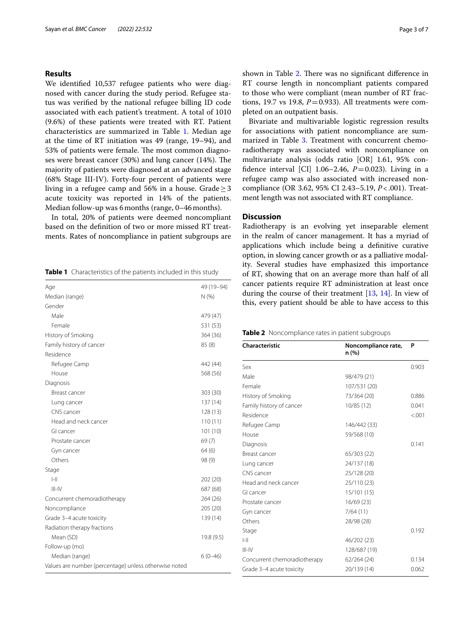## **Results**

We identifed 10,537 refugee patients who were diagnosed with cancer during the study period. Refugee status was verifed by the national refugee billing ID code associated with each patient's treatment. A total of 1010 (9.6%) of these patients were treated with RT. Patient characteristics are summarized in Table [1.](#page-2-0) Median age at the time of RT initiation was 49 (range, 19–94), and 53% of patients were female. The most common diagnoses were breast cancer (30%) and lung cancer (14%). The majority of patients were diagnosed at an advanced stage (68% Stage III-IV). Forty-four percent of patients were living in a refugee camp and 56% in a house. Grade  $\geq$  3 acute toxicity was reported in 14% of the patients. Median follow-up was 6 months (range, 0-46 months).

In total, 20% of patients were deemed noncompliant based on the defnition of two or more missed RT treatments. Rates of noncompliance in patient subgroups are

<span id="page-2-0"></span>**Table 1** Characteristics of the patients included in this study

| Age                                                   | 49 (19-94) |
|-------------------------------------------------------|------------|
| Median (range)                                        | N(% )      |
| Gender                                                |            |
| Male                                                  | 479 (47)   |
| Female                                                | 531 (53)   |
| History of Smoking                                    | 364 (36)   |
| Family history of cancer                              | 85(8)      |
| Residence                                             |            |
| Refugee Camp                                          | 442 (44)   |
| House                                                 | 568 (56)   |
| Diagnosis                                             |            |
| Breast cancer                                         | 303 (30)   |
| Lung cancer                                           | 137 (14)   |
| CNS cancer                                            | 128(13)    |
| Head and neck cancer                                  | 110(11)    |
| GI cancer                                             | 101(10)    |
| Prostate cancer                                       | 69(7)      |
| Gyn cancer                                            | 64(6)      |
| Others                                                | 98 (9)     |
| Stage                                                 |            |
| $ -  $                                                | 202 (20)   |
| $III - IV$                                            | 687 (68)   |
| Concurrent chemoradiotherapy                          | 264 (26)   |
| Noncompliance                                         | 205 (20)   |
| Grade 3-4 acute toxicity                              | 139 (14)   |
| Radiation therapy fractions                           |            |
| Mean (SD)                                             | 19.8 (9.5) |
| Follow-up (mo)                                        |            |
| Median (range)                                        | $6(0-46)$  |
| Values are number (percentage) unless otherwise noted |            |

shown in Table [2](#page-2-1). There was no significant difference in RT course length in noncompliant patients compared to those who were compliant (mean number of RT fractions, 19.7 vs 19.8,  $P = 0.933$ ). All treatments were completed on an outpatient basis.

Bivariate and multivariable logistic regression results for associations with patient noncompliance are sum-marized in Table [3](#page-3-0). Treatment with concurrent chemoradiotherapy was associated with noncompliance on multivariate analysis (odds ratio [OR] 1.61, 95% confidence interval [CI]  $1.06-2.46$ ,  $P=0.023$ ). Living in a refugee camp was also associated with increased noncompliance (OR 3.62, 95% CI 2.43–5.19, *P*<.001). Treatment length was not associated with RT compliance.

### **Discussion**

Radiotherapy is an evolving yet inseparable element in the realm of cancer management. It has a myriad of applications which include being a defnitive curative option, in slowing cancer growth or as a palliative modality. Several studies have emphasized this importance of RT, showing that on an average more than half of all cancer patients require RT administration at least once during the course of their treatment [[13](#page-5-11), [14\]](#page-5-12). In view of this, every patient should be able to have access to this

<span id="page-2-1"></span>**Table 2** Noncompliance rates in patient subgroups

| Characteristic               | Noncompliance rate,<br>n (%) | P      |
|------------------------------|------------------------------|--------|
| Sex                          |                              | 0.903  |
| Male                         | 98/479 (21)                  |        |
| Female                       | 107/531 (20)                 |        |
| History of Smoking           | 73/364 (20)                  | 0.886  |
| Family history of cancer     | 10/85 (12)                   | 0.041  |
| Residence                    |                              | < .001 |
| Refugee Camp                 | 146/442 (33)                 |        |
| House                        | 59/568 (10)                  |        |
| Diagnosis                    |                              | 0.141  |
| Breast cancer                | 65/303 (22)                  |        |
| Lung cancer                  | 24/137 (18)                  |        |
| CNS cancer                   | 25/128 (20)                  |        |
| Head and neck cancer         | 25/110 (23)                  |        |
| Gl cancer                    | 15/101 (15)                  |        |
| Prostate cancer              | 16/69 (23)                   |        |
| Gyn cancer                   | 7/64(11)                     |        |
| Others                       | 28/98 (28)                   |        |
| Stage                        |                              | 0.192  |
| $\left  - \right $           | 46/202 (23)                  |        |
| $III - IV$                   | 128/687 (19)                 |        |
| Concurrent chemoradiotherapy | 62/264 (24)                  | 0.134  |
| Grade 3-4 acute toxicity     | 20/139 (14)                  | 0.062  |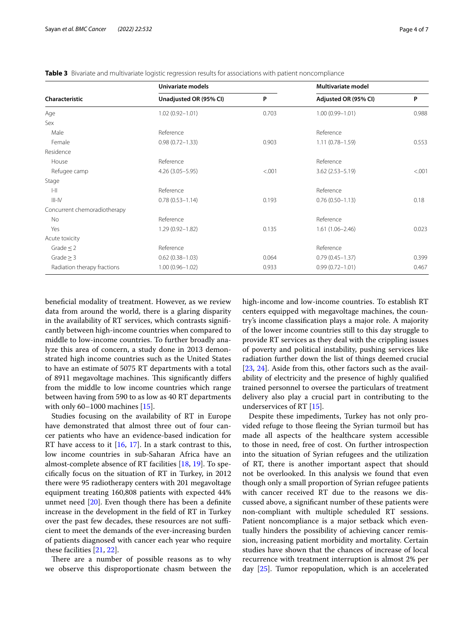| Characteristic               | Univariate models      |        | Multivariate model   |        |
|------------------------------|------------------------|--------|----------------------|--------|
|                              | Unadjusted OR (95% CI) | P      | Adjusted OR (95% CI) | P      |
| Age                          | $1.02(0.92 - 1.01)$    | 0.703  | $1.00(0.99 - 1.01)$  | 0.988  |
| Sex                          |                        |        |                      |        |
| Male                         | Reference              |        | Reference            |        |
| Female                       | $0.98(0.72 - 1.33)$    | 0.903  | $1.11(0.78 - 1.59)$  | 0.553  |
| Residence                    |                        |        |                      |        |
| House                        | Reference              |        | Reference            |        |
| Refugee camp                 | $4.26(3.05 - 5.95)$    | < .001 | $3.62(2.53 - 5.19)$  | < .001 |
| Stage                        |                        |        |                      |        |
| $\left\  - \right\ $         | Reference              |        | Reference            |        |
| $III-N$                      | $0.78(0.53 - 1.14)$    | 0.193  | $0.76(0.50 - 1.13)$  | 0.18   |
| Concurrent chemoradiotherapy |                        |        |                      |        |
| No                           | Reference              |        | Reference            |        |
| Yes                          | $1.29(0.92 - 1.82)$    | 0.135  | $1.61(1.06 - 2.46)$  | 0.023  |
| Acute toxicity               |                        |        |                      |        |
| Grade $\leq$ 2               | Reference              |        | Reference            |        |
| Grade $\geq$ 3               | $0.62(0.38 - 1.03)$    | 0.064  | $0.79(0.45 - 1.37)$  | 0.399  |
| Radiation therapy fractions  | $1.00(0.96 - 1.02)$    | 0.933  | $0.99(0.72 - 1.01)$  | 0.467  |

<span id="page-3-0"></span>**Table 3** Bivariate and multivariate logistic regression results for associations with patient noncompliance

benefcial modality of treatment. However, as we review data from around the world, there is a glaring disparity in the availability of RT services, which contrasts signifcantly between high-income countries when compared to middle to low-income countries. To further broadly analyze this area of concern, a study done in 2013 demonstrated high income countries such as the United States to have an estimate of 5075 RT departments with a total of 8911 megavoltage machines. This significantly differs from the middle to low income countries which range between having from 590 to as low as 40 RT departments with only 60–1000 machines [\[15](#page-5-13)].

Studies focusing on the availability of RT in Europe have demonstrated that almost three out of four cancer patients who have an evidence-based indication for RT have access to it  $[16, 17]$  $[16, 17]$  $[16, 17]$  $[16, 17]$ . In a stark contrast to this, low income countries in sub-Saharan Africa have an almost-complete absence of RT facilities [[18](#page-5-16), [19](#page-5-17)]. To specifcally focus on the situation of RT in Turkey, in 2012 there were 95 radiotherapy centers with 201 megavoltage equipment treating 160,808 patients with expected 44% unmet need [\[20](#page-5-18)]. Even though there has been a defnite increase in the development in the feld of RT in Turkey over the past few decades, these resources are not sufficient to meet the demands of the ever-increasing burden of patients diagnosed with cancer each year who require these facilities [[21,](#page-5-19) [22](#page-5-20)].

There are a number of possible reasons as to why we observe this disproportionate chasm between the high-income and low-income countries. To establish RT centers equipped with megavoltage machines, the country's income classifcation plays a major role. A majority of the lower income countries still to this day struggle to provide RT services as they deal with the crippling issues of poverty and political instability, pushing services like radiation further down the list of things deemed crucial [[23,](#page-6-0) [24\]](#page-6-1). Aside from this, other factors such as the availability of electricity and the presence of highly qualifed trained personnel to oversee the particulars of treatment delivery also play a crucial part in contributing to the underservices of RT [[15\]](#page-5-13).

Despite these impediments, Turkey has not only provided refuge to those feeing the Syrian turmoil but has made all aspects of the healthcare system accessible to those in need, free of cost. On further introspection into the situation of Syrian refugees and the utilization of RT, there is another important aspect that should not be overlooked. In this analysis we found that even though only a small proportion of Syrian refugee patients with cancer received RT due to the reasons we discussed above, a signifcant number of these patients were non-compliant with multiple scheduled RT sessions. Patient noncompliance is a major setback which eventually hinders the possibility of achieving cancer remission, increasing patient morbidity and mortality. Certain studies have shown that the chances of increase of local recurrence with treatment interruption is almost 2% per day [[25](#page-6-2)]. Tumor repopulation, which is an accelerated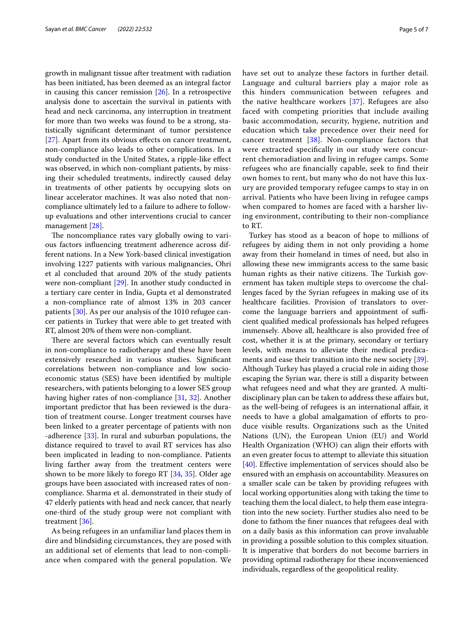growth in malignant tissue after treatment with radiation has been initiated, has been deemed as an integral factor in causing this cancer remission  $[26]$ . In a retrospective analysis done to ascertain the survival in patients with head and neck carcinoma, any interruption in treatment for more than two weeks was found to be a strong, statistically signifcant determinant of tumor persistence [[27\]](#page-6-4). Apart from its obvious effects on cancer treatment, non-compliance also leads to other complications. In a study conducted in the United States, a ripple-like efect was observed, in which non-compliant patients, by missing their scheduled treatments, indirectly caused delay in treatments of other patients by occupying slots on linear accelerator machines. It was also noted that noncompliance ultimately led to a failure to adhere to followup evaluations and other interventions crucial to cancer management [\[28](#page-6-5)].

The noncompliance rates vary globally owing to various factors infuencing treatment adherence across different nations. In a New York-based clinical investigation involving 1227 patients with various malignancies, Ohri et al concluded that around 20% of the study patients were non-compliant [\[29](#page-6-6)]. In another study conducted in a tertiary care center in India, Gupta et al demonstrated a non-compliance rate of almost 13% in 203 cancer patients [[30\]](#page-6-7). As per our analysis of the 1010 refugee cancer patients in Turkey that were able to get treated with RT, almost 20% of them were non-compliant.

There are several factors which can eventually result in non-compliance to radiotherapy and these have been extensively researched in various studies. Signifcant correlations between non-compliance and low socioeconomic status (SES) have been identifed by multiple researchers, with patients belonging to a lower SES group having higher rates of non-compliance [[31,](#page-6-8) [32\]](#page-6-9). Another important predictor that has been reviewed is the duration of treatment course. Longer treatment courses have been linked to a greater percentage of patients with non -adherence [[33\]](#page-6-10). In rural and suburban populations, the distance required to travel to avail RT services has also been implicated in leading to non-compliance. Patients living farther away from the treatment centers were shown to be more likely to forego RT [\[34](#page-6-11), [35](#page-6-12)]. Older age groups have been associated with increased rates of noncompliance. Sharma et al. demonstrated in their study of 47 elderly patients with head and neck cancer, that nearly one-third of the study group were not compliant with treatment [[36](#page-6-13)].

As being refugees in an unfamiliar land places them in dire and blindsiding circumstances, they are posed with an additional set of elements that lead to non-compliance when compared with the general population. We have set out to analyze these factors in further detail. Language and cultural barriers play a major role as this hinders communication between refugees and the native healthcare workers [\[37](#page-6-14)]. Refugees are also faced with competing priorities that include availing basic accommodation, security, hygiene, nutrition and education which take precedence over their need for cancer treatment [\[38](#page-6-15)]. Non-compliance factors that were extracted specifcally in our study were concurrent chemoradiation and living in refugee camps. Some refugees who are fnancially capable, seek to fnd their own homes to rent, but many who do not have this luxury are provided temporary refugee camps to stay in on arrival. Patients who have been living in refugee camps when compared to homes are faced with a harsher living environment, contributing to their non-compliance to RT.

Turkey has stood as a beacon of hope to millions of refugees by aiding them in not only providing a home away from their homeland in times of need, but also in allowing these new immigrants access to the same basic human rights as their native citizens. The Turkish government has taken multiple steps to overcome the challenges faced by the Syrian refugees in making use of its healthcare facilities. Provision of translators to overcome the language barriers and appointment of sufficient qualifed medical professionals has helped refugees immensely. Above all, healthcare is also provided free of cost, whether it is at the primary, secondary or tertiary levels, with means to alleviate their medical predicaments and ease their transition into the new society [\[39](#page-6-16)]. Although Turkey has played a crucial role in aiding those escaping the Syrian war, there is still a disparity between what refugees need and what they are granted. A multidisciplinary plan can be taken to address these affairs but, as the well-being of refugees is an international afair, it needs to have a global amalgamation of efforts to produce visible results. Organizations such as the United Nations (UN), the European Union (EU) and World Health Organization (WHO) can align their efforts with an even greater focus to attempt to alleviate this situation [[40\]](#page-6-17). Efective implementation of services should also be ensured with an emphasis on accountability. Measures on a smaller scale can be taken by providing refugees with local working opportunities along with taking the time to teaching them the local dialect, to help them ease integration into the new society. Further studies also need to be done to fathom the fner nuances that refugees deal with on a daily basis as this information can prove invaluable in providing a possible solution to this complex situation. It is imperative that borders do not become barriers in providing optimal radiotherapy for these inconvenienced individuals, regardless of the geopolitical reality.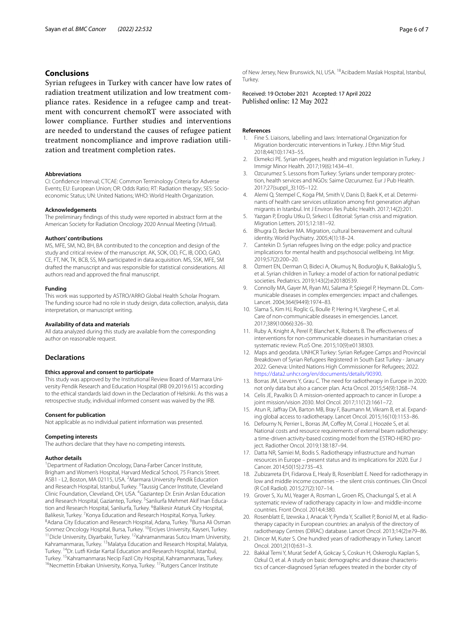#### **Conclusions**

Syrian refugees in Turkey with cancer have low rates of radiation treatment utilization and low treatment compliance rates. Residence in a refugee camp and treatment with concurrent chemoRT were associated with lower compliance. Further studies and interventions are needed to understand the causes of refugee patient treatment noncompliance and improve radiation utilization and treatment completion rates.

#### **Abbreviations**

CI: Confdence Interval; CTCAE: Common Terminology Criteria for Adverse Events; EU: European Union; OR: Odds Ratio; RT: Radiation therapy; SES: Socioeconomic Status; UN: United Nations; WHO: World Health Organization.

#### **Acknowledgements**

The preliminary fndings of this study were reported in abstract form at the American Society for Radiation Oncology 2020 Annual Meeting (Virtual).

#### **Authors' contributions**

MS, MFE, SM, NO, BH, BA contributed to the conception and design of the study and critical review of the manuscript. AK, SOK, OD, FC, IB, ODO, GAO, CE, FT, NK, TK, BCB, SS, MA participated in data acquisition. MS, SSK, MFE, SM drafted the manuscript and was responsible for statistical considerations. All authors read and approved the fnal manuscript.

#### **Funding**

This work was supported by ASTRO/ARRO Global Health Scholar Program. The funding source had no role in study design, data collection, analysis, data interpretation, or manuscript writing.

#### **Availability of data and materials**

All data analyzed during this study are available from the corresponding author on reasonable request.

#### **Declarations**

#### **Ethics approval and consent to participate**

This study was approved by the Institutional Review Board of Marmara University Pendik Research and Education Hospital (IRB 09.2019.615) according to the ethical standards laid down in the Declaration of Helsinki. As this was a retrospective study, individual informed consent was waived by the IRB.

#### **Consent for publication**

Not applicable as no individual patient information was presented.

#### **Competing interests**

The authors declare that they have no competing interests.

#### **Author details**

<sup>1</sup> Department of Radiation Oncology, Dana-Farber Cancer Institute, Brigham and Women's Hospital, Harvard Medical School, 75 Francis Street. ASB1 - L2, Boston, MA 02115, USA. <sup>2</sup> Marmara University Pendik Education and Research Hospital, Istanbul, Turkey. <sup>3</sup>Taussig Cancer Institute, Cleveland<br>Clinic Foundation, Cleveland, OH, USA. <sup>4</sup>Gaziantep Dr. Ersin Arslan Education and Research Hospital, Gaziantep, Turkey. <sup>5</sup>Sanliurfa Mehmet Akif Inan Education and Research Hospital, Sanliurfa, Turkey. <sup>6</sup>Balikesir Ataturk City Hospital, Balikesir, Turkey. <sup>7</sup> Konya Education and Research Hospital, Konya, Turkey.<br><sup>8</sup> Adapa City Education and Research Hospital, Adapa Turkey. <sup>9</sup> Bursa Ali C Adana City Education and Research Hospital, Adana, Turkey. <sup>9</sup>Bursa Ali Osman Sonmez Oncology Hospital, Bursa, Turkey. <sup>10</sup>Erciyes University, Kayseri, Turkey.<br><sup>11</sup>Dicle University, Diyarbakir, Turkey. <sup>12</sup>Kahramanmaras Sutcu Imam University, Kahramanmaras, Turkey. <sup>13</sup> Malatya Education and Research Hospital, Malatya, Turkey. <sup>14</sup>Dr. Lutfi Kirdar Kartal Education and Research Hospital, Istanbul,<br>Turkey. <sup>15</sup>Kahramanmaras Necip Fazil City Hospital, Kahramanmaras, Turkey. <sup>16</sup>Necmettin Erbakan University, Konya, Turkey. <sup>17</sup>Rutgers Cancer Institute

of New Jersey, New Brunswick, NJ, USA. <sup>18</sup>Acibadem Maslak Hospital, Istanbul, Turkey.

Received: 19 October 2021 Accepted: 17 April 2022<br>Published online: 12 May 2022

#### **References**

- <span id="page-5-0"></span>1. Fine S. Liaisons, labelling and laws: International Organization for Migration bordercratic interventions in Turkey. J Ethn Migr Stud. 2018;44(10):1743–55.
- <span id="page-5-1"></span>2. Ekmekci PE. Syrian refugees, health and migration legislation in Turkey. J Immigr Minor Health. 2017;19(6):1434–41.
- 3. Ozcurumez S. Lessons from Turkey: Syrians under temporary protection, health services and NGOs: Saime Ozcurumez. Eur J Pub Health. 2017;27(suppl\_3):105–122.
- <span id="page-5-2"></span>4. Alemi Q, Stempel C, Koga PM, Smith V, Danis D, Baek K, et al. Determinants of health care services utilization among frst generation afghan migrants in Istanbul. Int J Environ Res Public Health. 2017;14(2):201.
- <span id="page-5-3"></span>5. Yazgan P, Eroglu Utku D, Sirkeci I. Editorial: Syrian crisis and migration. Migration Letters. 2015;12:181–92.
- <span id="page-5-4"></span>Bhugra D, Becker MA. Migration, cultural bereavement and cultural identity. World Psychiatry. 2005;4(1):18–24.
- <span id="page-5-5"></span>7. Cantekin D. Syrian refugees living on the edge: policy and practice implications for mental health and psychosocial wellbeing. Int Migr. 2019;57(2):200–20.
- <span id="page-5-6"></span>8. Özmert EN, Derman O, Bideci A, Okumuş N, Boduroğlu K, Bakkaloğlu S, et al. Syrian children in Turkey: a model of action for national pediatric societies. Pediatrics. 2019;143(2):e20180539.
- <span id="page-5-7"></span>9. Connolly MA, Gayer M, Ryan MJ, Salama P, Spiegel P, Heymann DL. Communicable diseases in complex emergencies: impact and challenges. Lancet. 2004;364(9449):1974–83.
- <span id="page-5-8"></span>10. Slama S, Kim HJ, Roglic G, Boulle P, Hering H, Varghese C, et al. Care of non-communicable diseases in emergencies. Lancet. 2017;389(10066):326–30.
- <span id="page-5-9"></span>11. Ruby A, Knight A, Perel P, Blanchet K, Roberts B. The efectiveness of interventions for non-communicable diseases in humanitarian crises: a systematic review. PLoS One. 2015;10(9):e0138303.
- <span id="page-5-10"></span>12. Maps and geodata. UNHCR Turkey: Syrian Refugee Camps and Provincial Breakdown of Syrian Refugees Registered in South East Turkey - January 2022. Geneva: United Nations High Commissioner for Refugees; 2022. <https://data2.unhcr.org/en/documents/details/90390>.
- <span id="page-5-11"></span>13. Borras JM, Lievens Y, Grau C. The need for radiotherapy in Europe in 2020: not only data but also a cancer plan. Acta Oncol. 2015;54(9):1268–74.
- <span id="page-5-12"></span>14. Celis JE, Pavalkis D. A mission-oriented approach to cancer in Europe: a joint mission/vision 2030. Mol Oncol. 2017;11(12):1661–72.
- <span id="page-5-13"></span>15. Atun R, Jafray DA, Barton MB, Bray F, Baumann M, Vikram B, et al. Expanding global access to radiotherapy. Lancet Oncol. 2015;16(10):1153–86.
- <span id="page-5-14"></span>16. Defourny N, Perrier L, Borras JM, Coffey M, Corral J, Hoozée S, et al. National costs and resource requirements of external beam radiotherapy: a time-driven activity-based costing model from the ESTRO-HERO project. Radiother Oncol. 2019;138:187–94.
- <span id="page-5-15"></span>17. Datta NR, Samiei M, Bodis S. Radiotherapy infrastructure and human resources in Europe – present status and its implications for 2020. Eur J Cancer. 2014;50(15):2735–43.
- <span id="page-5-16"></span>18. Zubizarreta EH, Fidarova E, Healy B, Rosenblatt E. Need for radiotherapy in low and middle income countries – the silent crisis continues. Clin Oncol (R Coll Radiol). 2015;27(2):107–14.
- <span id="page-5-17"></span>19. Grover S, Xu MJ, Yeager A, Rosman L, Groen RS, Chackungal S, et al. A systematic review of radiotherapy capacity in low- and middle-income countries. Front Oncol. 2014;4:380.
- <span id="page-5-18"></span>20. Rosenblatt E, Izewska J, Anacak Y, Pynda Y, Scalliet P, Boniol M, et al. Radiotherapy capacity in European countries: an analysis of the directory of radiotherapy Centres (DIRAC) database. Lancet Oncol. 2013;14(2):e79–86.
- <span id="page-5-19"></span>21. Dincer M, Kuter S. One hundred years of radiotherapy in Turkey. Lancet Oncol. 2001;2(10):631–3.
- <span id="page-5-20"></span>22. Bakkal Temi Y, Murat Sedef A, Gokcay S, Coskun H, Oskeroglu Kaplan S, Ozkul O, et al. A study on basic demographic and disease characteristics of cancer-diagnosed Syrian refugees treated in the border city of